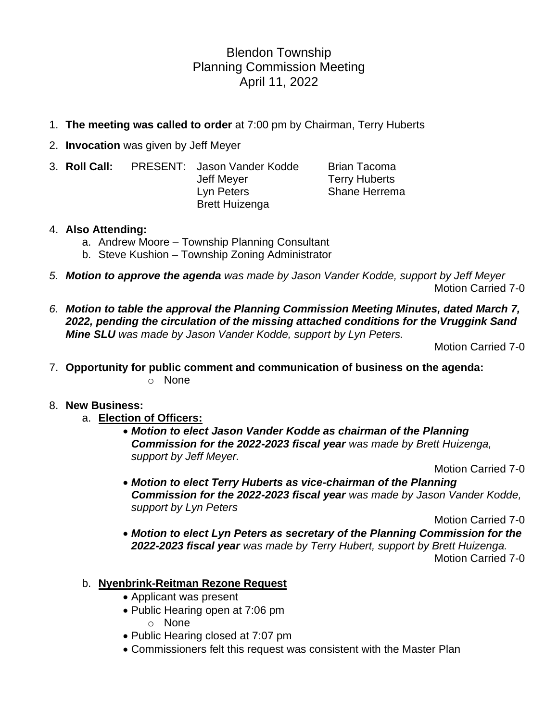Blendon Township Planning Commission Meeting April 11, 2022

- 1. **The meeting was called to order** at 7:00 pm by Chairman, Terry Huberts
- 2. **Invocation** was given by Jeff Meyer
- 3. **Roll Call:** PRESENT: Jason Vander Kodde Brian Tacoma Jeff Meyer **Terry Huberts** Lyn Peters Shane Herrema Brett Huizenga

#### 4. **Also Attending:**

- a. Andrew Moore Township Planning Consultant
- b. Steve Kushion Township Zoning Administrator
- *5. Motion to approve the agenda was made by Jason Vander Kodde, support by Jeff Meyer* Motion Carried 7-0
- *6. Motion to table the approval the Planning Commission Meeting Minutes, dated March 7, 2022, pending the circulation of the missing attached conditions for the Vruggink Sand Mine SLU was made by Jason Vander Kodde, support by Lyn Peters.*

Motion Carried 7-0

7. **Opportunity for public comment and communication of business on the agenda:** o None

#### 8. **New Business:**

- a. **Election of Officers:**
	- *Motion to elect Jason Vander Kodde as chairman of the Planning Commission for the 2022-2023 fiscal year was made by Brett Huizenga, support by Jeff Meyer.*

Motion Carried 7-0

• *Motion to elect Terry Huberts as vice-chairman of the Planning Commission for the 2022-2023 fiscal year was made by Jason Vander Kodde, support by Lyn Peters*

Motion Carried 7-0

- *Motion to elect Lyn Peters as secretary of the Planning Commission for the 2022-2023 fiscal year was made by Terry Hubert, support by Brett Huizenga.* Motion Carried 7-0
- b. **Nyenbrink-Reitman Rezone Request**
	- Applicant was present
	- Public Hearing open at 7:06 pm
		- o None
	- Public Hearing closed at 7:07 pm
	- Commissioners felt this request was consistent with the Master Plan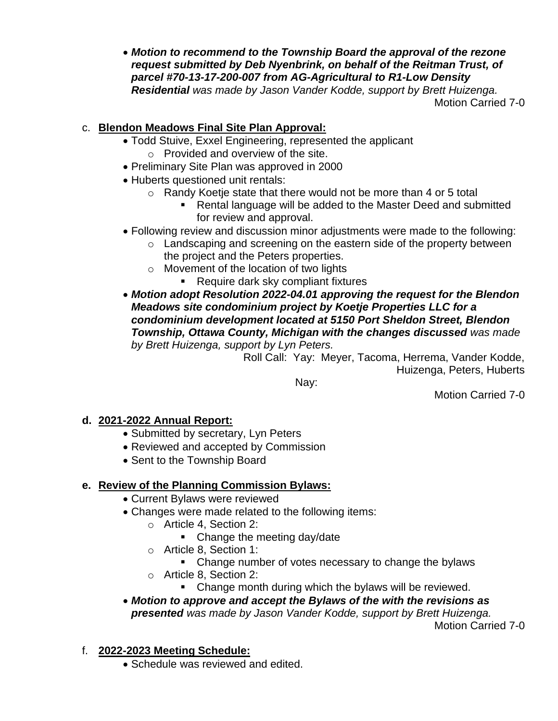• *Motion to recommend to the Township Board the approval of the rezone request submitted by Deb Nyenbrink, on behalf of the Reitman Trust, of parcel #70-13-17-200-007 from AG-Agricultural to R1-Low Density Residential was made by Jason Vander Kodde, support by Brett Huizenga.* Motion Carried 7-0

#### c. **Blendon Meadows Final Site Plan Approval:**

- Todd Stuive, Exxel Engineering, represented the applicant
	- o Provided and overview of the site.
- Preliminary Site Plan was approved in 2000
- Huberts questioned unit rentals:
	- o Randy Koetje state that there would not be more than 4 or 5 total
		- Rental language will be added to the Master Deed and submitted for review and approval.
- Following review and discussion minor adjustments were made to the following:
	- o Landscaping and screening on the eastern side of the property between the project and the Peters properties.
	- o Movement of the location of two lights
		- Require dark sky compliant fixtures
- *Motion adopt Resolution 2022-04.01 approving the request for the Blendon Meadows site condominium project by Koetje Properties LLC for a condominium development located at 5150 Port Sheldon Street, Blendon*  **Township, Ottawa County, Michigan with the changes discussed was made** *by Brett Huizenga, support by Lyn Peters.*

Roll Call: Yay: Meyer, Tacoma, Herrema, Vander Kodde, Huizenga, Peters, Huberts

Nay:

Motion Carried 7-0

## **d. 2021-2022 Annual Report:**

- Submitted by secretary, Lyn Peters
- Reviewed and accepted by Commission
- Sent to the Township Board

# **e. Review of the Planning Commission Bylaws:**

- Current Bylaws were reviewed
- Changes were made related to the following items:
	- o Article 4, Section 2:
		- Change the meeting day/date
	- o Article 8, Section 1:
		- Change number of votes necessary to change the bylaws
	- o Article 8, Section 2:
		- Change month during which the bylaws will be reviewed.
- *Motion to approve and accept the Bylaws of the with the revisions as presented was made by Jason Vander Kodde, support by Brett Huizenga.* Motion Carried 7-0
- f. **2022-2023 Meeting Schedule:**
	- Schedule was reviewed and edited.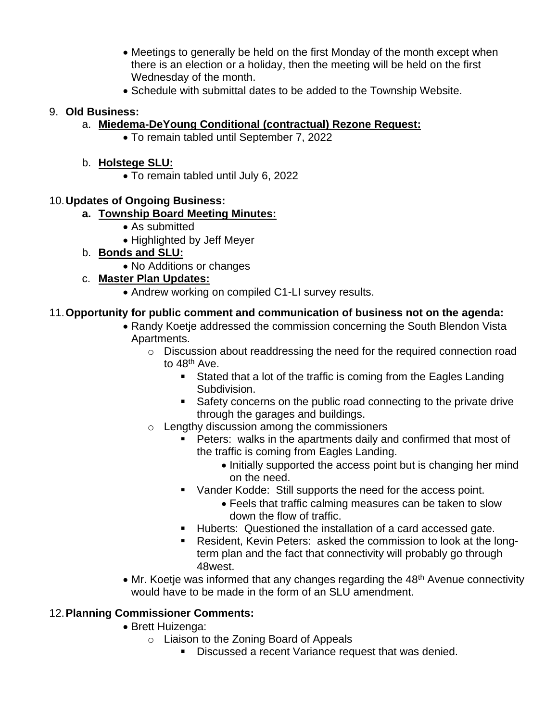- Meetings to generally be held on the first Monday of the month except when there is an election or a holiday, then the meeting will be held on the first Wednesday of the month.
- Schedule with submittal dates to be added to the Township Website.

#### 9. **Old Business:**

# a. **Miedema-DeYoung Conditional (contractual) Rezone Request:**

• To remain tabled until September 7, 2022

#### b. **Holstege SLU:**

• To remain tabled until July 6, 2022

## 10.**Updates of Ongoing Business:**

## **a. Township Board Meeting Minutes:**

- As submitted
- Highlighted by Jeff Meyer
- b. **Bonds and SLU:**
	- No Additions or changes

# c. **Master Plan Updates:**

• Andrew working on compiled C1-LI survey results.

# 11.**Opportunity for public comment and communication of business not on the agenda:**

- Randy Koetje addressed the commission concerning the South Blendon Vista Apartments.
	- o Discussion about readdressing the need for the required connection road to 48<sup>th</sup> Ave.
		- Stated that a lot of the traffic is coming from the Eagles Landing Subdivision.
		- Safety concerns on the public road connecting to the private drive through the garages and buildings.
	- o Lengthy discussion among the commissioners
		- Peters: walks in the apartments daily and confirmed that most of the traffic is coming from Eagles Landing.
			- Initially supported the access point but is changing her mind on the need.
		- Vander Kodde: Still supports the need for the access point.
			- Feels that traffic calming measures can be taken to slow down the flow of traffic.
		- Huberts: Questioned the installation of a card accessed gate.
		- Resident, Kevin Peters: asked the commission to look at the longterm plan and the fact that connectivity will probably go through 48west.
- Mr. Koetje was informed that any changes regarding the 48<sup>th</sup> Avenue connectivity would have to be made in the form of an SLU amendment.

## 12.**Planning Commissioner Comments:**

- Brett Huizenga:
	- o Liaison to the Zoning Board of Appeals
		- Discussed a recent Variance request that was denied.